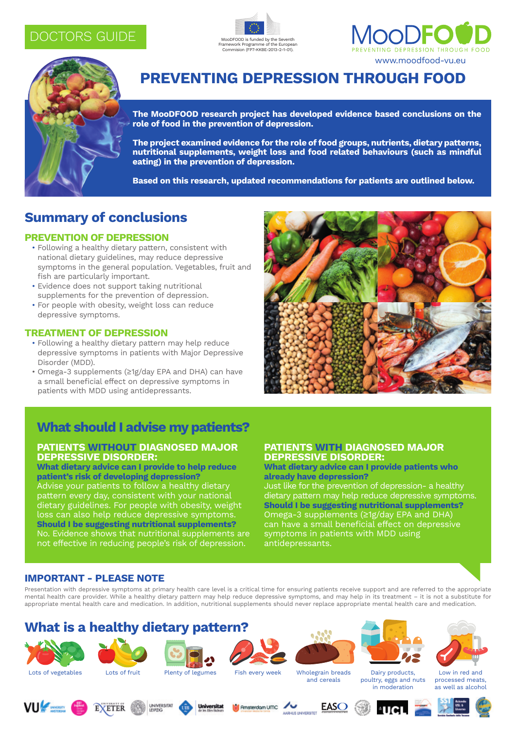## doctors GUIDE







# **Preventing Depression through Food**

**The MooDFOOD research project has developed evidence based conclusions on the role of food in the prevention of depression.**

**The project examined evidence for the role of food groups, nutrients, dietary patterns, nutritional supplements, weight loss and food related behaviours (such as mindful eating) in the prevention of depression.** 

**Based on this research, updated recommendations for patients are outlined below.**

## **Summary of conclusions**

### **PREVENTION OF DEPRESSION**

- Following a healthy dietary pattern, consistent with national dietary guidelines, may reduce depressive symptoms in the general population. Vegetables, fruit and fish are particularly important.
- Evidence does not support taking nutritional supplements for the prevention of depression.
- For people with obesity, weight loss can reduce depressive symptoms.

#### **TREATMENT OF DEPRESSION**

- Following a healthy dietary pattern may help reduce depressive symptoms in patients with Major Depressive Disorder (MDD).
- Omega-3 supplements (≥1g/day EPA and DHA) can have a small beneficial effect on depressive symptoms in patients with MDD using antidepressants.



# **What should I advise my patients?**

### **PATIENTS WITHOUT DIAGNOSED MAJOR DEPRESSIVE DISORDER:**

**What dietary advice can I provide to help reduce patient's risk of developing depression?** Advise your patients to follow a healthy dietary pattern every day, consistent with your national dietary guidelines. For people with obesity, weight loss can also help reduce depressive symptoms. **Should I be suggesting nutritional supplements?** No. Evidence shows that nutritional supplements are not effective in reducing people's risk of depression.

#### **PATIENTS WITH DIAGNOSED MAJOR DEPRESSIVE DISORDER:**

#### **What dietary advice can I provide patients who already have depression?**

Just like for the prevention of depression- a healthy dietary pattern may help reduce depressive symptoms. **Should I be suggesting nutritional supplements?** Omega-3 supplements (≥1g/day EPA and DHA) can have a small beneficial effect on depressive symptoms in patients with MDD using antidepressants.

## **IMPORTANT - PLEASE NOTE**

Presentation with depressive symptoms at primary health care level is a critical time for ensuring patients receive support and are referred to the appropriate mental health care provider. While a healthy dietary pattern may help reduce depressive symptoms, and may help in its treatment – it is not a substitute for appropriate mental health care and medication. In addition, nutritional supplements should never replace appropriate mental health care and medication.

## **What is a healthy dietary pattern?**





**EXETER** 











and cereals

Dairy products, poultry, eggs and nuts in moderation Low in red and processed meats, as well as alcohol